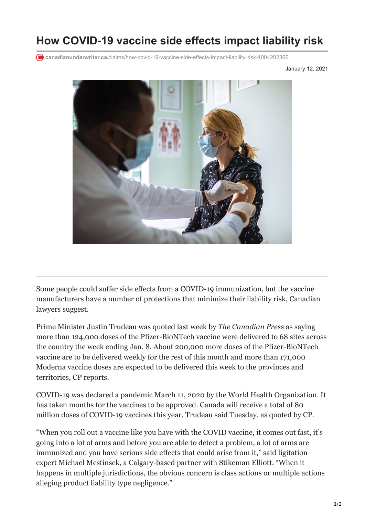## **How COVID-19 vaccine side effects impact liability risk**

**canadianunderwriter.ca**[/claims/how-covid-19-vaccine-side-effects-impact-liability-risk-1004202366](https://www.canadianunderwriter.ca/claims/how-covid-19-vaccine-side-effects-impact-liability-risk-1004202366/)

January 12, 2021



Some people could suffer side effects from a COVID-19 immunization, but the vaccine manufacturers have a number of protections that minimize their liability risk, Canadian lawyers suggest.

Prime Minister Justin Trudeau was quoted last week by *The Canadian Press* as saying more than 124,000 doses of the Pfizer-BioNTech vaccine were delivered to 68 sites across the country the week ending Jan. 8. About 200,000 more doses of the Pfizer-BioNTech vaccine are to be delivered weekly for the rest of this month and more than 171,000 Moderna vaccine doses are expected to be delivered this week to the provinces and territories, CP reports.

COVID-19 was declared a pandemic March 11, 2020 by the World Health Organization. It has taken months for the vaccines to be approved. Canada will receive a total of 80 million doses of COVID-19 vaccines this year, Trudeau said Tuesday, as quoted by CP.

"When you roll out a vaccine like you have with the COVID vaccine, it comes out fast, it's going into a lot of arms and before you are able to detect a problem, a lot of arms are immunized and you have serious side effects that could arise from it," said ligitation expert Michael Mestinsek, a Calgary-based partner with Stikeman Elliott. "When it happens in multiple jurisdictions, the obvious concern is class actions or multiple actions alleging product liability type negligence."